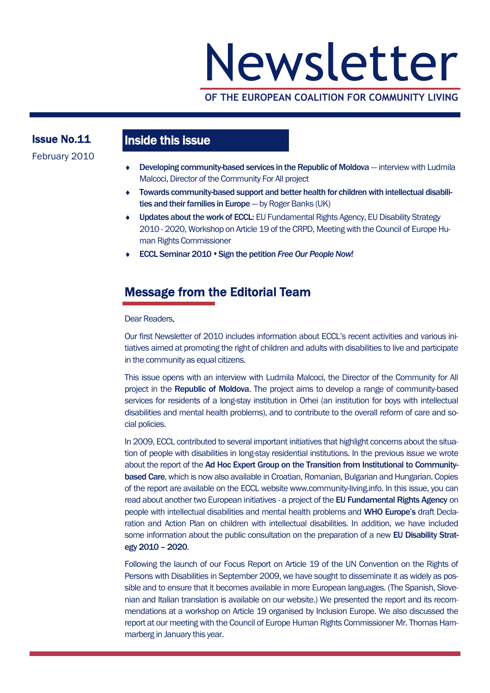# Newsletter

## **OF THE EUROPEAN COALITION FOR COMMUNITY LIVING**

## Issue No.11 February 2010

## Inside this issue

- Developing community-based services in the Republic of Moldova interview with Ludmila Malcoci, Director of the Community For All project
- Towards community-based support and better health for children with intellectual disabilities and their families in Europe  $-$  by Roger Banks (UK)
- Updates about the work of ECCL: EU Fundamental Rights Agency, EU Disability Strategy 2010 - 2020, Workshop on Article 19 of the CRPD, Meeting with the Council of Europe Human Rights Commissioner
- ◆ ECCL Seminar 2010 ◆ Sign the petition *Free Our People Now!*

## Message from the Editorial Team

#### Dear Readers,

Our first Newsletter of 2010 includes information about ECCL's recent activities and various initiatives aimed at promoting the right of children and adults with disabilities to live and participate in the community as equal citizens.

This issue opens with an interview with Ludmila Malcoci, the Director of the Community for All project in the Republic of Moldova. The project aims to develop a range of community-based services for residents of a long-stay institution in Orhei (an institution for boys with intellectual disabilities and mental health problems), and to contribute to the overall reform of care and social policies.

In 2009, ECCL contributed to several important initiatives that highlight concerns about the situation of people with disabilities in long-stay residential institutions. In the previous issue we wrote about the report of the Ad Hoc Expert Group on the Transition from Institutional to Communitybased Care, which is now also available in Croatian, Romanian, Bulgarian and Hungarian. Copies of the report are available on the ECCL website www.community-living.info. In this issue, you can read about another two European initiatives - a project of the EU Fundamental Rights Agency on people with intellectual disabilities and mental health problems and WHO Europe's draft Declaration and Action Plan on children with intellectual disabilities. In addition, we have included some information about the public consultation on the preparation of a new EU Disability Strategy 2010 – 2020.

Following the launch of our Focus Report on Article 19 of the UN Convention on the Rights of Persons with Disabilities in September 2009, we have sought to disseminate it as widely as possible and to ensure that it becomes available in more European languages. (The Spanish, Slovenian and Italian translation is available on our website.) We presented the report and its recommendations at a workshop on Article 19 organised by Inclusion Europe. We also discussed the report at our meeting with the Council of Europe Human Rights Commissioner Mr. Thomas Hammarberg in January this year.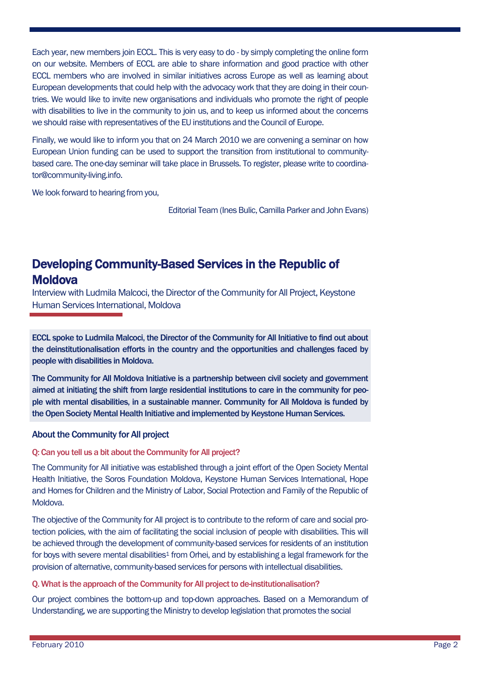Each year, new members join ECCL. This is very easy to do - by simply completing the online form on our website. Members of ECCL are able to share information and good practice with other ECCL members who are involved in similar initiatives across Europe as well as learning about European developments that could help with the advocacy work that they are doing in their countries. We would like to invite new organisations and individuals who promote the right of people with disabilities to live in the community to join us, and to keep us informed about the concerns we should raise with representatives of the EU institutions and the Council of Europe.

Finally, we would like to inform you that on 24 March 2010 we are convening a seminar on how European Union funding can be used to support the transition from institutional to communitybased care. The one-day seminar will take place in Brussels. To register, please write to coordinator@community-living.info.

We look forward to hearing from you,

Editorial Team (Ines Bulic, Camilla Parker and John Evans)

## Developing Community-Based Services in the Republic of **Moldova**

Interview with Ludmila Malcoci, the Director of the Community for All Project, Keystone Human Services International, Moldova

ECCL spoke to Ludmila Malcoci, the Director of the Community for All Initiative to find out about the deinstitutionalisation efforts in the country and the opportunities and challenges faced by people with disabilities in Moldova.

The Community for All Moldova Initiative is a partnership between civil society and government aimed at initiating the shift from large residential institutions to care in the community for people with mental disabilities, in a sustainable manner. Community for All Moldova is funded by the Open Society Mental Health Initiative and implemented by Keystone Human Services.

#### About the Community for All project

#### Q: Can you tell us a bit about the Community for All project?

The Community for All initiative was established through a joint effort of the Open Society Mental Health Initiative, the Soros Foundation Moldova, Keystone Human Services International, Hope and Homes for Children and the Ministry of Labor, Social Protection and Family of the Republic of Moldova.

The objective of the Community for All project is to contribute to the reform of care and social protection policies, with the aim of facilitating the social inclusion of people with disabilities. This will be achieved through the development of community-based services for residents of an institution for boys with severe mental disabilities<sup>1</sup> from Orhei, and by establishing a legal framework for the provision of alternative, community-based services for persons with intellectual disabilities.

#### Q. What is the approach of the Community for All project to de-institutionalisation?

Our project combines the bottom-up and top-down approaches. Based on a Memorandum of Understanding, we are supporting the Ministry to develop legislation that promotes the social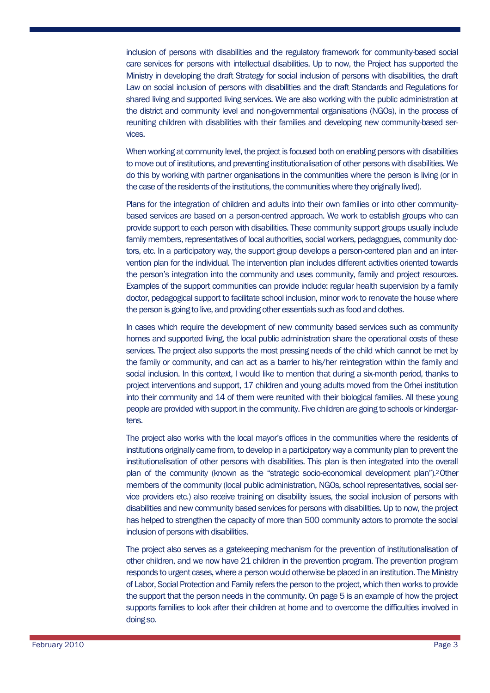inclusion of persons with disabilities and the regulatory framework for community-based social care services for persons with intellectual disabilities. Up to now, the Project has supported the Ministry in developing the draft Strategy for social inclusion of persons with disabilities, the draft Law on social inclusion of persons with disabilities and the draft Standards and Regulations for shared living and supported living services. We are also working with the public administration at the district and community level and non-governmental organisations (NGOs), in the process of reuniting children with disabilities with their families and developing new community-based services.

When working at community level, the project is focused both on enabling persons with disabilities to move out of institutions, and preventing institutionalisation of other persons with disabilities. We do this by working with partner organisations in the communities where the person is living (or in the case of the residents of the institutions, the communities where they originally lived).

Plans for the integration of children and adults into their own families or into other communitybased services are based on a person-centred approach. We work to establish groups who can provide support to each person with disabilities. These community support groups usually include family members, representatives of local authorities, social workers, pedagogues, community doctors, etc. In a participatory way, the support group develops a person-centered plan and an intervention plan for the individual. The intervention plan includes different activities oriented towards the person's integration into the community and uses community, family and project resources. Examples of the support communities can provide include: regular health supervision by a family doctor, pedagogical support to facilitate school inclusion, minor work to renovate the house where the person is going to live, and providing other essentials such as food and clothes.

In cases which require the development of new community based services such as community homes and supported living, the local public administration share the operational costs of these services. The project also supports the most pressing needs of the child which cannot be met by the family or community, and can act as a barrier to his/her reintegration within the family and social inclusion. In this context, I would like to mention that during a six-month period, thanks to project interventions and support, 17 children and young adults moved from the Orhei institution into their community and 14 of them were reunited with their biological families. All these young people are provided with support in the community. Five children are going to schools or kindergartens.

The project also works with the local mayor's offices in the communities where the residents of institutions originally came from, to develop in a participatory way a community plan to prevent the institutionalisation of other persons with disabilities. This plan is then integrated into the overall plan of the community (known as the "strategic socio-economical development plan").2Other members of the community (local public administration, NGOs, school representatives, social service providers etc.) also receive training on disability issues, the social inclusion of persons with disabilities and new community based services for persons with disabilities. Up to now, the project has helped to strengthen the capacity of more than 500 community actors to promote the social inclusion of persons with disabilities.

The project also serves as a gatekeeping mechanism for the prevention of institutionalisation of other children, and we now have 21 children in the prevention program. The prevention program responds to urgent cases, where a person would otherwise be placed in an institution. The Ministry of Labor, Social Protection and Family refers the person to the project, which then works to provide the support that the person needs in the community. On page 5 is an example of how the project supports families to look after their children at home and to overcome the difficulties involved in doing so.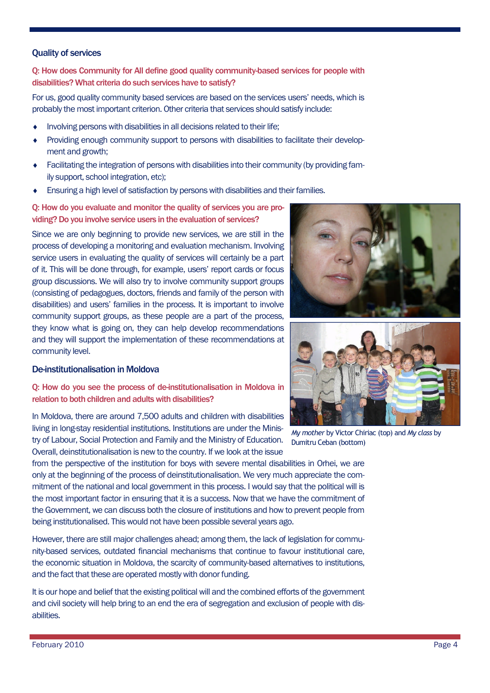#### Quality of services

Q: How does Community for All define good quality community-based services for people with disabilities? What criteria do such services have to satisfy?

For us, good quality community based services are based on the services users' needs, which is probably the most important criterion. Other criteria that services should satisfy include:

- Involving persons with disabilities in all decisions related to their life;
- Providing enough community support to persons with disabilities to facilitate their development and growth;
- Facilitating the integration of persons with disabilities into their community (by providing family support, school integration, etc);
- Ensuring a high level of satisfaction by persons with disabilities and their families.

Q: How do you evaluate and monitor the quality of services you are providing? Do you involve service users in the evaluation of services?

Since we are only beginning to provide new services, we are still in the process of developing a monitoring and evaluation mechanism. Involving service users in evaluating the quality of services will certainly be a part of it. This will be done through, for example, users' report cards or focus group discussions. We will also try to involve community support groups (consisting of pedagogues, doctors, friends and family of the person with disabilities) and users' families in the process. It is important to involve community support groups, as these people are a part of the process, they know what is going on, they can help develop recommendations and they will support the implementation of these recommendations at community level.

#### De-institutionalisation in Moldova

Q: How do you see the process of de-institutionalisation in Moldova in relation to both children and adults with disabilities?

In Moldova, there are around 7,500 adults and children with disabilities living in long-stay residential institutions. Institutions are under the Ministry of Labour, Social Protection and Family and the Ministry of Education. Overall, deinstitutionalisation is new to the country. If we look at the issue

from the perspective of the institution for boys with severe mental disabilities in Orhei, we are only at the beginning of the process of deinstitutionalisation. We very much appreciate the commitment of the national and local government in this process. I would say that the political will is the most important factor in ensuring that it is a success. Now that we have the commitment of the Government, we can discuss both the closure of institutions and how to prevent people from being institutionalised. This would not have been possible several years ago.

However, there are still major challenges ahead; among them, the lack of legislation for community-based services, outdated financial mechanisms that continue to favour institutional care, the economic situation in Moldova, the scarcity of community-based alternatives to institutions, and the fact that these are operated mostly with donor funding.

It is our hope and belief that the existing political will and the combined efforts of the government and civil society will help bring to an end the era of segregation and exclusion of people with disabilities.





*My mother* by Victor Chiriac (top) and *My class* by Dumitru Ceban (bottom)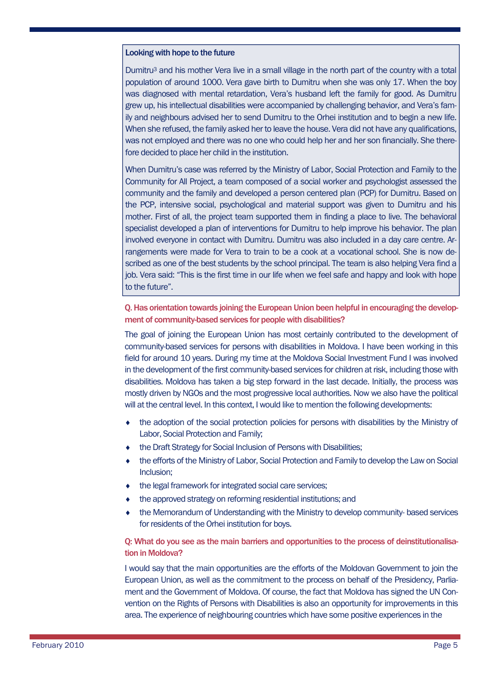#### Looking with hope to the future

Dumitru<sup>3</sup> and his mother Vera live in a small village in the north part of the country with a total population of around 1000. Vera gave birth to Dumitru when she was only 17. When the boy was diagnosed with mental retardation, Vera's husband left the family for good. As Dumitru grew up, his intellectual disabilities were accompanied by challenging behavior, and Vera's family and neighbours advised her to send Dumitru to the Orhei institution and to begin a new life. When she refused, the family asked her to leave the house. Vera did not have any qualifications, was not employed and there was no one who could help her and her son financially. She therefore decided to place her child in the institution.

When Dumitru's case was referred by the Ministry of Labor, Social Protection and Family to the Community for All Project, a team composed of a social worker and psychologist assessed the community and the family and developed a person centered plan (PCP) for Dumitru. Based on the PCP, intensive social, psychological and material support was given to Dumitru and his mother. First of all, the project team supported them in finding a place to live. The behavioral specialist developed a plan of interventions for Dumitru to help improve his behavior. The plan involved everyone in contact with Dumitru. Dumitru was also included in a day care centre. Arrangements were made for Vera to train to be a cook at a vocational school. She is now described as one of the best students by the school principal. The team is also helping Vera find a job. Vera said: "This is the first time in our life when we feel safe and happy and look with hope to the future".

#### Q. Has orientation towards joining the European Union been helpful in encouraging the development of community-based services for people with disabilities?

The goal of joining the European Union has most certainly contributed to the development of community-based services for persons with disabilities in Moldova. I have been working in this field for around 10 years. During my time at the Moldova Social Investment Fund I was involved in the development of the first community-based services for children at risk, including those with disabilities. Moldova has taken a big step forward in the last decade. Initially, the process was mostly driven by NGOs and the most progressive local authorities. Now we also have the political will at the central level. In this context, I would like to mention the following developments:

- the adoption of the social protection policies for persons with disabilities by the Ministry of Labor, Social Protection and Family;
- the Draft Strategy for Social Inclusion of Persons with Disabilities;
- the efforts of the Ministry of Labor, Social Protection and Family to develop the Law on Social Inclusion;
- $\bullet$  the legal framework for integrated social care services;
- the approved strategy on reforming residential institutions; and
- the Memorandum of Understanding with the Ministry to develop community- based services for residents of the Orhei institution for boys.

#### Q: What do you see as the main barriers and opportunities to the process of deinstitutionalisation in Moldova?

I would say that the main opportunities are the efforts of the Moldovan Government to join the European Union, as well as the commitment to the process on behalf of the Presidency, Parliament and the Government of Moldova. Of course, the fact that Moldova has signed the UN Convention on the Rights of Persons with Disabilities is also an opportunity for improvements in this area. The experience of neighbouring countries which have some positive experiences in the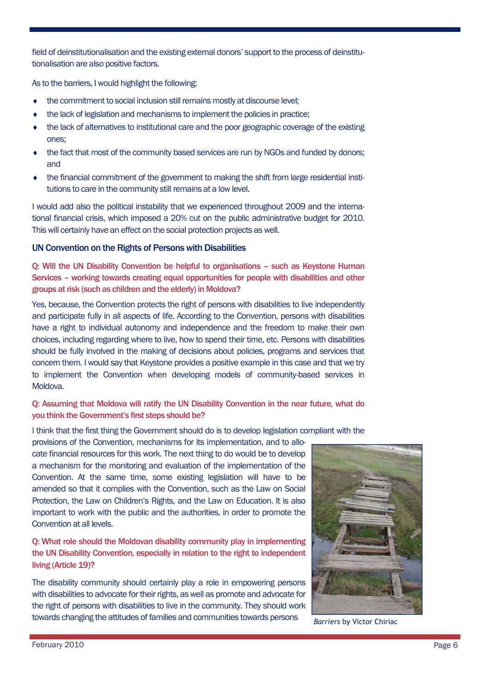field of deinstitutionalisation and the existing external donors' support to the process of deinstitutionalisation are also positive factors.

As to the barriers, I would highlight the following:

- the commitment to social inclusion still remains mostly at discourse level;
- the lack of legislation and mechanisms to implement the policies in practice;
- the lack of alternatives to institutional care and the poor geographic coverage of the existing ones;
- the fact that most of the community based services are run by NGOs and funded by donors; and
- the financial commitment of the government to making the shift from large residential institutions to care in the community still remains at a low level.

I would add also the political instability that we experienced throughout 2009 and the international financial crisis, which imposed a 20% cut on the public administrative budget for 2010. This will certainly have an effect on the social protection projects as well.

#### UN Convention on the Rights of Persons with Disabilities

Q: Will the UN Disability Convention be helpful to organisations – such as Keystone Human Services – working towards creating equal opportunities for people with disabilities and other groups at risk (such as children and the elderly) in Moldova?

Yes, because, the Convention protects the right of persons with disabilities to live independently and participate fully in all aspects of life. According to the Convention, persons with disabilities have a right to individual autonomy and independence and the freedom to make their own choices, including regarding where to live, how to spend their time, etc. Persons with disabilities should be fully involved in the making of decisions about policies, programs and services that concern them. I would say that Keystone provides a positive example in this case and that we try to implement the Convention when developing models of community-based services in Moldova.

#### Q: Assuming that Moldova will ratify the UN Disability Convention in the near future, what do you think the Government's first steps should be?

I think that the first thing the Government should do is to develop legislation compliant with the

provisions of the Convention, mechanisms for its implementation, and to allocate financial resources for this work. The next thing to do would be to develop a mechanism for the monitoring and evaluation of the implementation of the Convention. At the same time, some existing legislation will have to be amended so that it complies with the Convention, such as the Law on Social Protection, the Law on Children's Rights, and the Law on Education. It is also important to work with the public and the authorities, in order to promote the Convention at all levels.

Q: What role should the Moldovan disability community play in implementing the UN Disability Convention, especially in relation to the right to independent living (Article 19)?

The disability community should certainly play a role in empowering persons with disabilities to advocate for their rights, as well as promote and advocate for the right of persons with disabilities to live in the community. They should work towards changing the attitudes of families and communities towards persons *Barriers* by Victor Chiriac

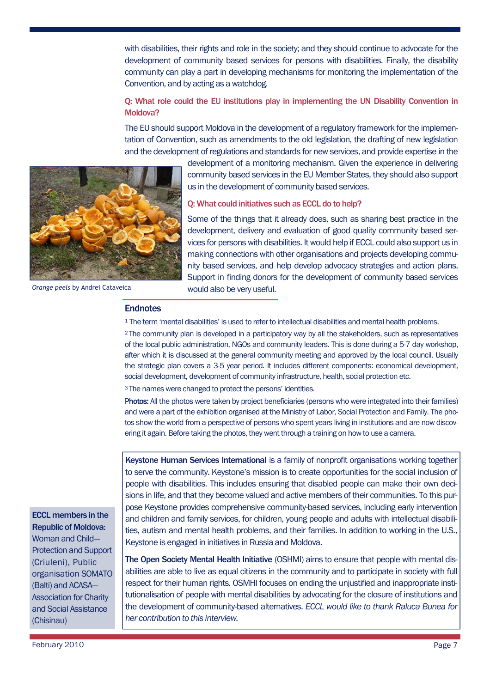with disabilities, their rights and role in the society; and they should continue to advocate for the development of community based services for persons with disabilities. Finally, the disability community can play a part in developing mechanisms for monitoring the implementation of the Convention, and by acting as a watchdog.

#### Q: What role could the EU institutions play in implementing the UN Disability Convention in Moldova?

The EU should support Moldova in the development of a regulatory framework for the implementation of Convention, such as amendments to the old legislation, the drafting of new legislation and the development of regulations and standards for new services, and provide expertise in the



*Orange peels* by Andrei Cataveica

development of a monitoring mechanism. Given the experience in delivering community based services in the EU Member States, they should also support us in the development of community based services.

#### Q: What could initiatives such as ECCL do to help?

Some of the things that it already does, such as sharing best practice in the development, delivery and evaluation of good quality community based services for persons with disabilities. It would help if ECCL could also support us in making connections with other organisations and projects developing community based services, and help develop advocacy strategies and action plans. Support in finding donors for the development of community based services would also be very useful.

#### **Endnotes**

<sup>1</sup> The term 'mental disabilities' is used to refer to intellectual disabilities and mental health problems.

<sup>2</sup> The community plan is developed in a participatory way by all the stakeholders, such as representatives of the local public administration, NGOs and community leaders. This is done during a 5-7 day workshop, after which it is discussed at the general community meeting and approved by the local council. Usually the strategic plan covers a 3-5 year period. It includes different components: economical development, social development, development of community infrastructure, health, social protection etc.

<sup>3</sup> The names were changed to protect the persons' identities.

Photos: All the photos were taken by project beneficiaries (persons who were integrated into their families) and were a part of the exhibition organised at the Ministry of Labor, Social Protection and Family. The photos show the world from a perspective of persons who spent years living in institutions and are now discovering it again. Before taking the photos, they went through a training on how to use a camera.

Keystone Human Services International is a family of nonprofit organisations working together to serve the community. Keystone's mission is to create opportunities for the social inclusion of people with disabilities. This includes ensuring that disabled people can make their own decisions in life, and that they become valued and active members of their communities. To this purpose Keystone provides comprehensive community-based services, including early intervention and children and family services, for children, young people and adults with intellectual disabilities, autism and mental health problems, and their families. In addition to working in the U.S., Keystone is engaged in initiatives in Russia and Moldova.

The Open Society Mental Health Initiative (OSHMI) aims to ensure that people with mental disabilities are able to live as equal citizens in the community and to participate in society with full respect for their human rights. OSMHI focuses on ending the unjustified and inappropriate institutionalisation of people with mental disabilities by advocating for the closure of institutions and the development of community-based alternatives. *ECCL would like to thank Raluca Bunea for her contribution to this interview.*

ECCL members in the Republic of Moldova: Woman and Child— Protection and Support (Criuleni), Public organisation SOMATO (Balti) and ACASA— Association for Charity and Social Assistance (Chisinau)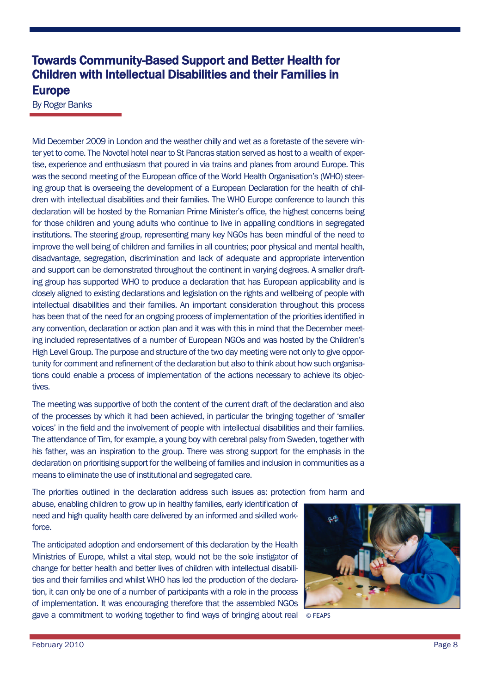## Towards Community-Based Support and Better Health for Children with Intellectual Disabilities and their Families in Europe

By Roger Banks

Mid December 2009 in London and the weather chilly and wet as a foretaste of the severe winter yet to come. The Novotel hotel near to St Pancras station served as host to a wealth of expertise, experience and enthusiasm that poured in via trains and planes from around Europe. This was the second meeting of the European office of the World Health Organisation's (WHO) steering group that is overseeing the development of a European Declaration for the health of children with intellectual disabilities and their families. The WHO Europe conference to launch this declaration will be hosted by the Romanian Prime Minister's office, the highest concerns being for those children and young adults who continue to live in appalling conditions in segregated institutions. The steering group, representing many key NGOs has been mindful of the need to improve the well being of children and families in all countries; poor physical and mental health, disadvantage, segregation, discrimination and lack of adequate and appropriate intervention and support can be demonstrated throughout the continent in varying degrees. A smaller drafting group has supported WHO to produce a declaration that has European applicability and is closely aligned to existing declarations and legislation on the rights and wellbeing of people with intellectual disabilities and their families. An important consideration throughout this process has been that of the need for an ongoing process of implementation of the priorities identified in any convention, declaration or action plan and it was with this in mind that the December meeting included representatives of a number of European NGOs and was hosted by the Children's High Level Group. The purpose and structure of the two day meeting were not only to give opportunity for comment and refinement of the declaration but also to think about how such organisations could enable a process of implementation of the actions necessary to achieve its objectives.

The meeting was supportive of both the content of the current draft of the declaration and also of the processes by which it had been achieved, in particular the bringing together of 'smaller voices' in the field and the involvement of people with intellectual disabilities and their families. The attendance of Tim, for example, a young boy with cerebral palsy from Sweden, together with his father, was an inspiration to the group. There was strong support for the emphasis in the declaration on prioritising support for the wellbeing of families and inclusion in communities as a means to eliminate the use of institutional and segregated care.

The priorities outlined in the declaration address such issues as: protection from harm and

abuse, enabling children to grow up in healthy families, early identification of need and high quality health care delivered by an informed and skilled workforce.

The anticipated adoption and endorsement of this declaration by the Health Ministries of Europe, whilst a vital step, would not be the sole instigator of change for better health and better lives of children with intellectual disabilities and their families and whilst WHO has led the production of the declaration, it can only be one of a number of participants with a role in the process of implementation. It was encouraging therefore that the assembled NGOs gave a commitment to working together to find ways of bringing about real © FEAPS

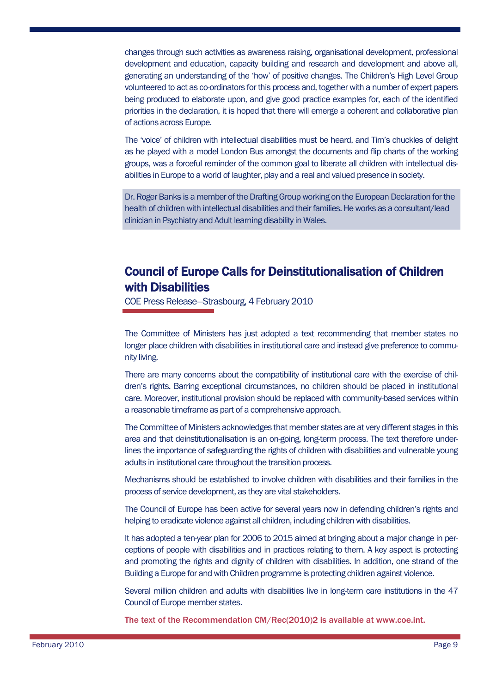changes through such activities as awareness raising, organisational development, professional development and education, capacity building and research and development and above all, generating an understanding of the 'how' of positive changes. The Children's High Level Group volunteered to act as co-ordinators for this process and, together with a number of expert papers being produced to elaborate upon, and give good practice examples for, each of the identified priorities in the declaration, it is hoped that there will emerge a coherent and collaborative plan of actions across Europe.

The 'voice' of children with intellectual disabilities must be heard, and Tim's chuckles of delight as he played with a model London Bus amongst the documents and flip charts of the working groups, was a forceful reminder of the common goal to liberate all children with intellectual disabilities in Europe to a world of laughter, play and a real and valued presence in society.

Dr. Roger Banks is a member of the Drafting Group working on the European Declaration for the health of children with intellectual disabilities and their families. He works as a consultant/lead clinician in Psychiatry and Adult learning disability in Wales.

## Council of Europe Calls for Deinstitutionalisation of Children with Disabilities

COE Press Release—Strasbourg, 4 February 2010

The Committee of Ministers has just adopted a text recommending that member states no longer place children with disabilities in institutional care and instead give preference to community living.

There are many concerns about the compatibility of institutional care with the exercise of children's rights. Barring exceptional circumstances, no children should be placed in institutional care. Moreover, institutional provision should be replaced with community-based services within a reasonable timeframe as part of a comprehensive approach.

The Committee of Ministers acknowledges that member states are at very different stages in this area and that deinstitutionalisation is an on-going, long-term process. The text therefore underlines the importance of safeguarding the rights of children with disabilities and vulnerable young adults in institutional care throughout the transition process.

Mechanisms should be established to involve children with disabilities and their families in the process of service development, as they are vital stakeholders.

The Council of Europe has been active for several years now in defending children's rights and helping to eradicate violence against all children, including children with disabilities.

It has adopted a ten-year plan for 2006 to 2015 aimed at bringing about a major change in perceptions of people with disabilities and in practices relating to them. A key aspect is protecting and promoting the rights and dignity of children with disabilities. In addition, one strand of the Building a Europe for and with Children programme is protecting children against violence.

Several million children and adults with disabilities live in long-term care institutions in the 47 Council of Europe member states.

The text of the Recommendation CM/Rec(2010)2 is available at www.coe.int.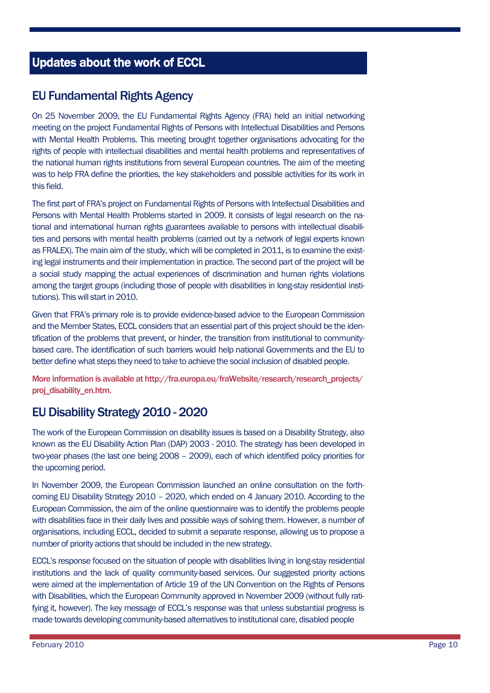## Updates about the work of ECCL

## EU Fundamental Rights Agency

On 25 November 2009, the EU Fundamental Rights Agency (FRA) held an initial networking meeting on the project Fundamental Rights of Persons with Intellectual Disabilities and Persons with Mental Health Problems. This meeting brought together organisations advocating for the rights of people with intellectual disabilities and mental health problems and representatives of the national human rights institutions from several European countries. The aim of the meeting was to help FRA define the priorities, the key stakeholders and possible activities for its work in this field.

The first part of FRA's project on Fundamental Rights of Persons with Intellectual Disabilities and Persons with Mental Health Problems started in 2009. It consists of legal research on the national and international human rights guarantees available to persons with intellectual disabilities and persons with mental health problems (carried out by a network of legal experts known as FRALEX). The main aim of the study, which will be completed in 2011, is to examine the existing legal instruments and their implementation in practice. The second part of the project will be a social study mapping the actual experiences of discrimination and human rights violations among the target groups (including those of people with disabilities in long-stay residential institutions). This will start in 2010.

Given that FRA's primary role is to provide evidence-based advice to the European Commission and the Member States, ECCL considers that an essential part of this project should be the identification of the problems that prevent, or hinder, the transition from institutional to communitybased care. The identification of such barriers would help national Governments and the EU to better define what steps they need to take to achieve the social inclusion of disabled people.

More information is available at http://fra.europa.eu/fraWebsite/research/research\_projects/ proj\_disability\_en.htm.

## EU Disability Strategy 2010 - 2020

The work of the European Commission on disability issues is based on a Disability Strategy, also known as the EU Disability Action Plan (DAP) 2003 - 2010. The strategy has been developed in two-year phases (the last one being 2008 – 2009), each of which identified policy priorities for the upcoming period.

In November 2009, the European Commission launched an online consultation on the forthcoming EU Disability Strategy 2010 – 2020, which ended on 4 January 2010. According to the European Commission, the aim of the online questionnaire was to identify the problems people with disabilities face in their daily lives and possible ways of solving them. However, a number of organisations, including ECCL, decided to submit a separate response, allowing us to propose a number of priority actions that should be included in the new strategy.

ECCL's response focused on the situation of people with disabilities living in long-stay residential institutions and the lack of quality community-based services. Our suggested priority actions were aimed at the implementation of Article 19 of the UN Convention on the Rights of Persons with Disabilities, which the European Community approved in November 2009 (without fully ratifying it, however). The key message of ECCL's response was that unless substantial progress is made towards developing community-based alternatives to institutional care, disabled people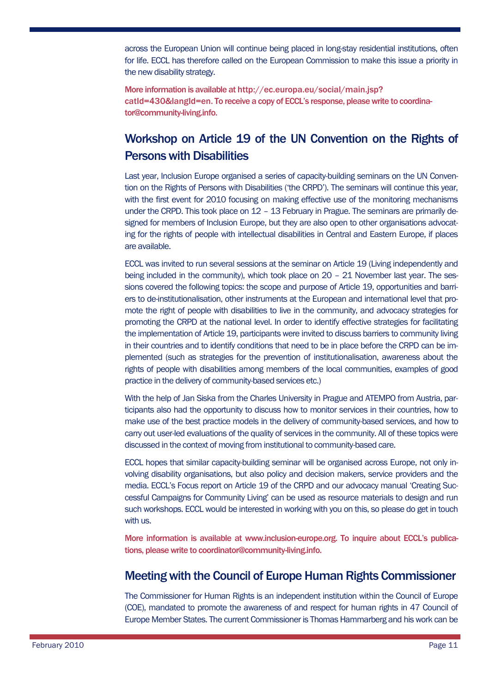across the European Union will continue being placed in long-stay residential institutions, often for life. ECCL has therefore called on the European Commission to make this issue a priority in the new disability strategy.

More information is available at http://ec.europa.eu/social/main.jsp? catId=430&langId=en. To receive a copy of ECCL's response, please write to coordinator@community-living.info.

## Workshop on Article 19 of the UN Convention on the Rights of Persons with Disabilities

Last year, Inclusion Europe organised a series of capacity-building seminars on the UN Convention on the Rights of Persons with Disabilities ('the CRPD'). The seminars will continue this year, with the first event for 2010 focusing on making effective use of the monitoring mechanisms under the CRPD. This took place on 12 - 13 February in Prague. The seminars are primarily designed for members of Inclusion Europe, but they are also open to other organisations advocating for the rights of people with intellectual disabilities in Central and Eastern Europe, if places are available.

ECCL was invited to run several sessions at the seminar on Article 19 (Living independently and being included in the community), which took place on 20 – 21 November last year. The sessions covered the following topics: the scope and purpose of Article 19, opportunities and barriers to de-institutionalisation, other instruments at the European and international level that promote the right of people with disabilities to live in the community, and advocacy strategies for promoting the CRPD at the national level. In order to identify effective strategies for facilitating the implementation of Article 19, participants were invited to discuss barriers to community living in their countries and to identify conditions that need to be in place before the CRPD can be implemented (such as strategies for the prevention of institutionalisation, awareness about the rights of people with disabilities among members of the local communities, examples of good practice in the delivery of community-based services etc.)

With the help of Jan Siska from the Charles University in Prague and ATEMPO from Austria, participants also had the opportunity to discuss how to monitor services in their countries, how to make use of the best practice models in the delivery of community-based services, and how to carry out user-led evaluations of the quality of services in the community. All of these topics were discussed in the context of moving from institutional to community-based care.

ECCL hopes that similar capacity-building seminar will be organised across Europe, not only involving disability organisations, but also policy and decision makers, service providers and the media. ECCL's Focus report on Article 19 of the CRPD and our advocacy manual 'Creating Successful Campaigns for Community Living' can be used as resource materials to design and run such workshops. ECCL would be interested in working with you on this, so please do get in touch with us.

More information is available at www.inclusion-europe.org. To inquire about ECCL's publications, please write to coordinator@community-living.info.

## Meeting with the Council of Europe Human Rights Commissioner

The Commissioner for Human Rights is an independent institution within the Council of Europe (COE), mandated to promote the awareness of and respect for human rights in 47 Council of Europe Member States. The current Commissioner is Thomas Hammarberg and his work can be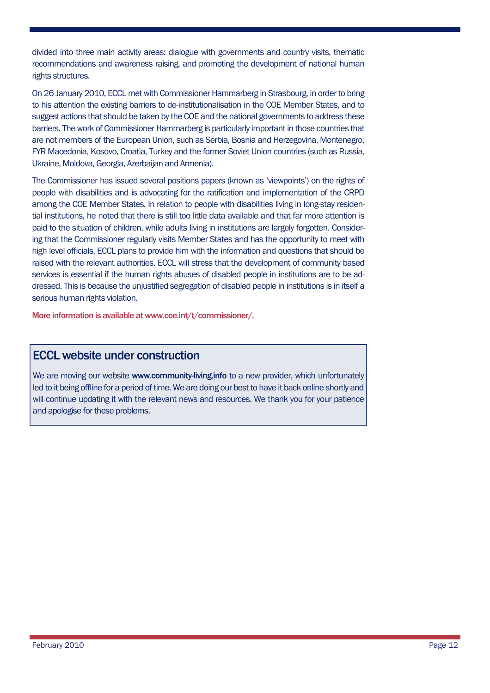divided into three main activity areas: dialogue with governments and country visits, thematic recommendations and awareness raising, and promoting the development of national human rights structures.

On 26 January 2010, ECCL met with Commissioner Hammarberg in Strasbourg, in order to bring to his attention the existing barriers to de-institutionalisation in the COE Member States, and to suggest actions that should be taken by the COE and the national governments to address these barriers. The work of Commissioner Hammarberg is particularly important in those countries that are not members of the European Union, such as Serbia, Bosnia and Herzegovina, Montenegro, FYR Macedonia, Kosovo, Croatia, Turkey and the former Soviet Union countries (such as Russia, Ukraine, Moldova, Georgia, Azerbaijan and Armenia).

The Commissioner has issued several positions papers (known as 'viewpoints') on the rights of people with disabilities and is advocating for the ratification and implementation of the CRPD among the COE Member States. In relation to people with disabilities living in long-stay residential institutions, he noted that there is still too little data available and that far more attention is paid to the situation of children, while adults living in institutions are largely forgotten. Considering that the Commissioner regularly visits Member States and has the opportunity to meet with high level officials, ECCL plans to provide him with the information and questions that should be raised with the relevant authorities. ECCL will stress that the development of community based services is essential if the human rights abuses of disabled people in institutions are to be addressed. This is because the unjustified segregation of disabled people in institutions is in itself a serious human rights violation.

More information is available at www.coe.int/t/commissioner/.

## ECCL website under construction

We are moving our website www.community-living.info to a new provider, which unfortunately led to it being offline for a period of time. We are doing our best to have it back online shortly and will continue updating it with the relevant news and resources. We thank you for your patience and apologise for these problems.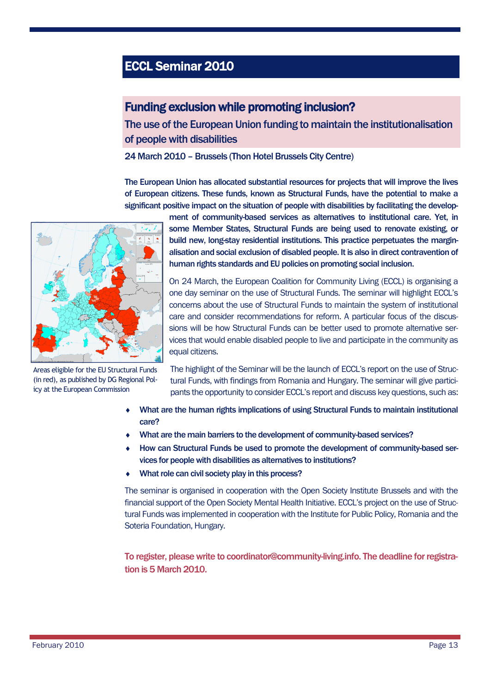# ECCL Seminar 2010

## Funding exclusion while promoting inclusion?

The use of the European Union funding to maintain the institutionalisation of people with disabilities

24 March 2010 – Brussels (Thon Hotel Brussels City Centre)

The European Union has allocated substantial resources for projects that will improve the lives of European citizens. These funds, known as Structural Funds, have the potential to make a significant positive impact on the situation of people with disabilities by facilitating the develop-



Areas eligible for the EU Structural Funds (in red), as published by DG Regional Policy at the European Commission

ment of community-based services as alternatives to institutional care. Yet, in some Member States, Structural Funds are being used to renovate existing, or build new, long-stay residential institutions. This practice perpetuates the marginalisation and social exclusion of disabled people. It is also in direct contravention of human rights standards and EU policies on promoting social inclusion.

On 24 March, the European Coalition for Community Living (ECCL) is organising a one day seminar on the use of Structural Funds. The seminar will highlight ECCL's concerns about the use of Structural Funds to maintain the system of institutional care and consider recommendations for reform. A particular focus of the discussions will be how Structural Funds can be better used to promote alternative services that would enable disabled people to live and participate in the community as equal citizens.

The highlight of the Seminar will be the launch of ECCL's report on the use of Structural Funds, with findings from Romania and Hungary. The seminar will give participants the opportunity to consider ECCL's report and discuss key questions, such as:

- What are the human rights implications of using Structural Funds to maintain institutional care?
- What are the main barriers to the development of community-based services?
- How can Structural Funds be used to promote the development of community-based services for people with disabilities as alternatives to institutions?
- ◆ What role can civil society play in this process?

The seminar is organised in cooperation with the Open Society Institute Brussels and with the financial support of the Open Society Mental Health Initiative. ECCL's project on the use of Structural Funds was implemented in cooperation with the Institute for Public Policy, Romania and the Soteria Foundation, Hungary.

To register, please write to coordinator@community-living.info. The deadline for registration is 5 March 2010.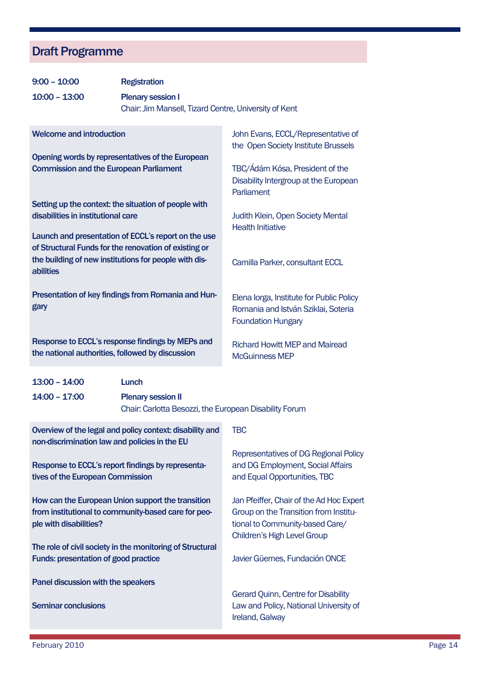# Draft Programme

| $9:00 - 10:00$                                                                                                                                                                                                                                                                   | <b>Registration</b>                                                                                 |                                                                                                                                                     |
|----------------------------------------------------------------------------------------------------------------------------------------------------------------------------------------------------------------------------------------------------------------------------------|-----------------------------------------------------------------------------------------------------|-----------------------------------------------------------------------------------------------------------------------------------------------------|
| $10:00 - 13:00$                                                                                                                                                                                                                                                                  | <b>Plenary session I</b><br>Chair: Jim Mansell, Tizard Centre, University of Kent                   |                                                                                                                                                     |
| <b>Welcome and introduction</b>                                                                                                                                                                                                                                                  |                                                                                                     | John Evans, ECCL/Representative of<br>the Open Society Institute Brussels                                                                           |
| Opening words by representatives of the European<br><b>Commission and the European Parliament</b>                                                                                                                                                                                |                                                                                                     | TBC/Ádám Kósa, President of the<br>Disability Intergroup at the European<br>Parliament                                                              |
| Setting up the context: the situation of people with<br>disabilities in institutional care<br>Launch and presentation of ECCL's report on the use<br>of Structural Funds for the renovation of existing or<br>the building of new institutions for people with dis-<br>abilities |                                                                                                     | Judith Klein, Open Society Mental<br><b>Health Initiative</b><br>Camilla Parker, consultant ECCL                                                    |
| Presentation of key findings from Romania and Hun-<br>gary                                                                                                                                                                                                                       |                                                                                                     | Elena lorga, Institute for Public Policy<br>Romania and István Sziklai, Soteria<br><b>Foundation Hungary</b>                                        |
| Response to ECCL's response findings by MEPs and<br>the national authorities, followed by discussion                                                                                                                                                                             |                                                                                                     | <b>Richard Howitt MEP and Mairead</b><br><b>McGuinness MEP</b>                                                                                      |
| $13:00 - 14:00$<br>$14:00 - 17:00$                                                                                                                                                                                                                                               | <b>Lunch</b><br><b>Plenary session II</b><br>Chair: Carlotta Besozzi, the European Disability Forum |                                                                                                                                                     |
| Overview of the legal and policy context: disability and<br>non-discrimination law and policies in the EU<br>Response to ECCL's report findings by representa-<br>tives of the European Commission                                                                               |                                                                                                     | <b>TBC</b><br>Representatives of DG Regional Policy<br>and DG Employment, Social Affairs<br>and Equal Opportunities, TBC                            |
| How can the European Union support the transition<br>from institutional to community-based care for peo-<br>ple with disabilities?                                                                                                                                               |                                                                                                     | Jan Pfeiffer, Chair of the Ad Hoc Expert<br>Group on the Transition from Institu-<br>tional to Community-based Care/<br>Children's High Level Group |
| The role of civil society in the monitoring of Structural<br><b>Funds: presentation of good practice</b>                                                                                                                                                                         |                                                                                                     | Javier Güemes, Fundación ONCE                                                                                                                       |
| Panel discussion with the speakers<br><b>Seminar conclusions</b>                                                                                                                                                                                                                 |                                                                                                     | Gerard Quinn, Centre for Disability<br>Law and Policy, National University of<br>Ireland, Galway                                                    |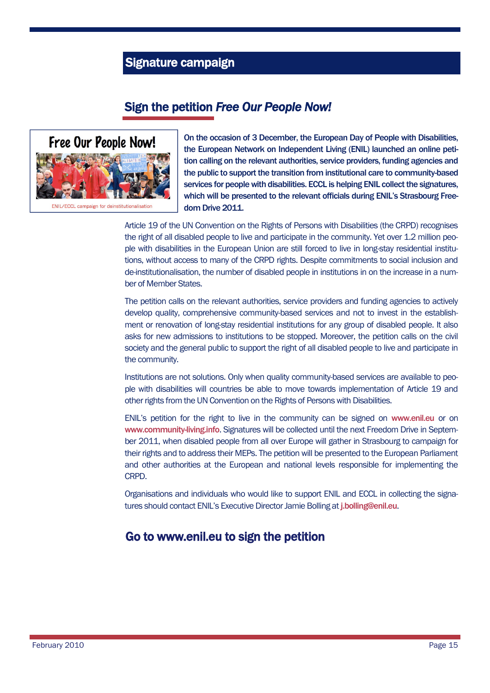## Signature campaign

## Sign the petition *Free Our People Now!*



On the occasion of 3 December, the European Day of People with Disabilities, the European Network on Independent Living (ENIL) launched an online petition calling on the relevant authorities, service providers, funding agencies and the public to support the transition from institutional care to community-based services for people with disabilities. ECCL is helping ENIL collect the signatures, which will be presented to the relevant officials during ENIL's Strasbourg Freedom Drive 2011.

Article 19 of the UN Convention on the Rights of Persons with Disabilities (the CRPD) recognises the right of all disabled people to live and participate in the community. Yet over 1.2 million people with disabilities in the European Union are still forced to live in long-stay residential institutions, without access to many of the CRPD rights. Despite commitments to social inclusion and de-institutionalisation, the number of disabled people in institutions in on the increase in a number of Member States.

The petition calls on the relevant authorities, service providers and funding agencies to actively develop quality, comprehensive community-based services and not to invest in the establishment or renovation of long-stay residential institutions for any group of disabled people. It also asks for new admissions to institutions to be stopped. Moreover, the petition calls on the civil society and the general public to support the right of all disabled people to live and participate in the community.

Institutions are not solutions. Only when quality community-based services are available to people with disabilities will countries be able to move towards implementation of Article 19 and other rights from the UN Convention on the Rights of Persons with Disabilities.

ENIL's petition for the right to live in the community can be signed on www.enil.eu or on www.community-living.info. Signatures will be collected until the next Freedom Drive in September 2011, when disabled people from all over Europe will gather in Strasbourg to campaign for their rights and to address their MEPs. The petition will be presented to the European Parliament and other authorities at the European and national levels responsible for implementing the CRPD.

Organisations and individuals who would like to support ENIL and ECCL in collecting the signatures should contact ENIL's Executive Director Jamie Bolling at j.bolling@enil.eu.

## Go to www.enil.eu to sign the petition